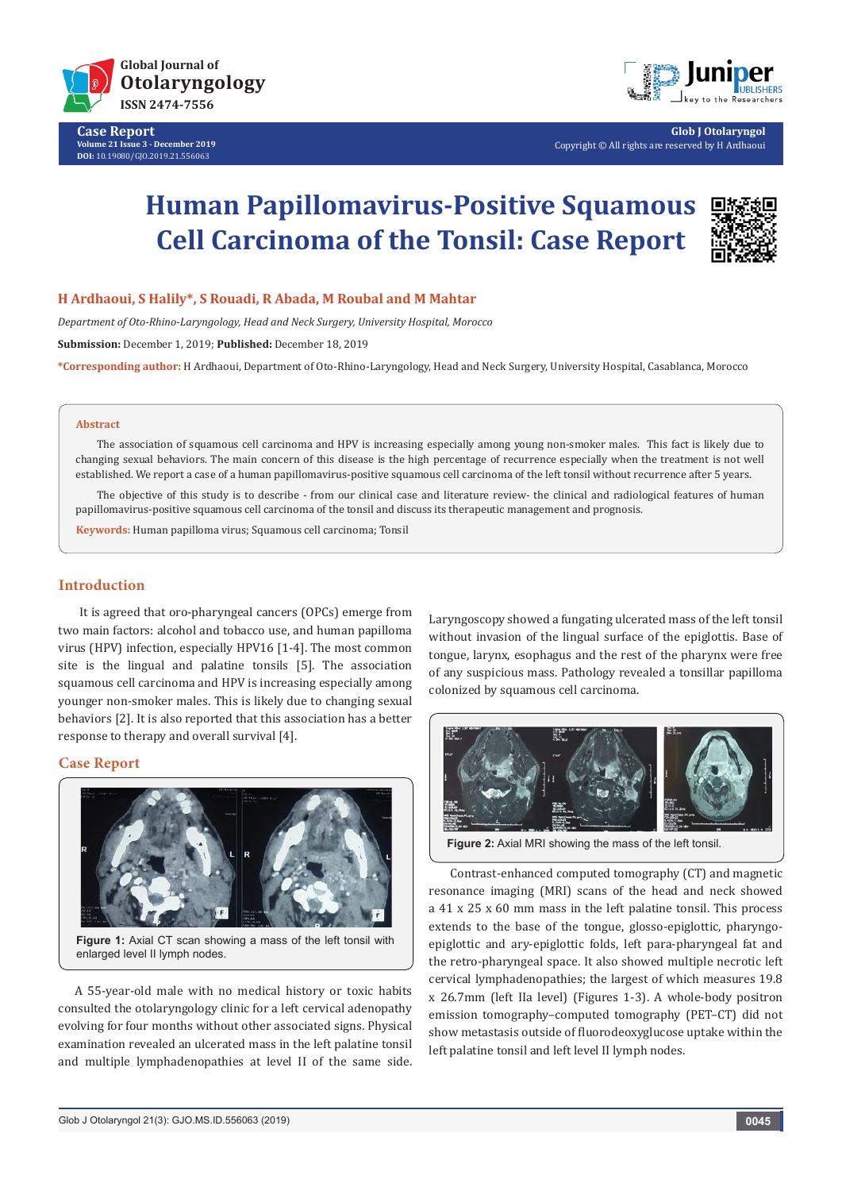

**Case Report Volume 21 Issue 3 - December 2019 DOI:** [10.19080/GJO.2019.21.556063](http:// 10.19080/GJO.2019.21.556063)



**Glob J Otolaryngol** Copyright © All rights are reserved by H Ardhaoui

# **Human Papillomavirus-Positive Squamous Cell Carcinoma of the Tonsil: Case Report**



## **H Ardhaoui, S Halily\*, S Rouadi, R Abada, M Roubal and M Mahtar**

*Department of Oto-Rhino-Laryngology, Head and Neck Surgery, University Hospital, Morocco* 

**Submission:** December 1, 2019; **Published:** December 18, 2019

**\*Corresponding author:** H Ardhaoui, Department of Oto-Rhino-Laryngology, Head and Neck Surgery, University Hospital, Casablanca, Morocco

#### **Abstract**

The association of squamous cell carcinoma and HPV is increasing especially among young non-smoker males. This fact is likely due to changing sexual behaviors. The main concern of this disease is the high percentage of recurrence especially when the treatment is not well established. We report a case of a human papillomavirus-positive squamous cell carcinoma of the left tonsil without recurrence after 5 years.

The objective of this study is to describe - from our clinical case and literature review- the clinical and radiological features of human papillomavirus-positive squamous cell carcinoma of the tonsil and discuss its therapeutic management and prognosis.

**Keywords:** Human papilloma virus; Squamous cell carcinoma; Tonsil

### **Introduction**

It is agreed that oro-pharyngeal cancers (OPCs) emerge from two main factors: alcohol and tobacco use, and human papilloma virus (HPV) infection, especially HPV16 [1-4]. The most common site is the lingual and palatine tonsils [5]. The association squamous cell carcinoma and HPV is increasing especially among younger non-smoker males. This is likely due to changing sexual behaviors [2]. It is also reported that this association has a better response to therapy and overall survival [4].

#### **Case Report**



**Figure 1:** Axial CT scan showing a mass of the left tonsil with enlarged level II lymph nodes.

 A 55-year-old male with no medical history or toxic habits consulted the otolaryngology clinic for a left cervical adenopathy evolving for four months without other associated signs. Physical examination revealed an ulcerated mass in the left palatine tonsil and multiple lymphadenopathies at level II of the same side.

Laryngoscopy showed a fungating ulcerated mass of the left tonsil without invasion of the lingual surface of the epiglottis. Base of tongue, larynx, esophagus and the rest of the pharynx were free of any suspicious mass. Pathology revealed a tonsillar papilloma colonized by squamous cell carcinoma.



Contrast-enhanced computed tomography (CT) and magnetic resonance imaging (MRI) scans of the head and neck showed a 41 x 25 x 60 mm mass in the left palatine tonsil. This process extends to the base of the tongue, glosso-epiglottic, pharyngoepiglottic and ary-epiglottic folds, left para-pharyngeal fat and the retro-pharyngeal space. It also showed multiple necrotic left cervical lymphadenopathies; the largest of which measures 19.8 x 26.7mm (left IIa level) (Figures 1-3). A whole-body positron emission tomography–computed tomography (PET–CT) did not show metastasis outside of fluorodeoxyglucose uptake within the left palatine tonsil and left level II lymph nodes.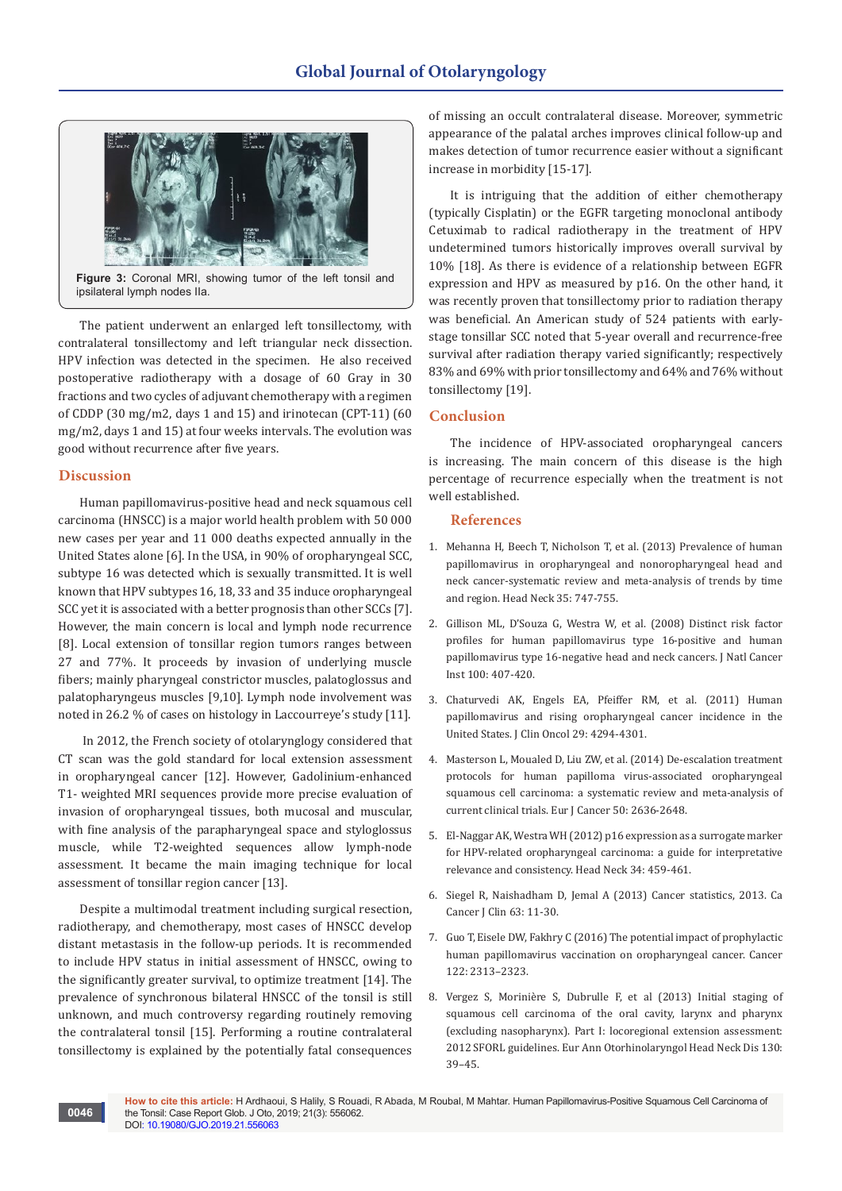

**Figure 3:** Coronal MRI, showing tumor of the left tonsil and ipsilateral lymph nodes IIa.

The patient underwent an enlarged left tonsillectomy, with contralateral tonsillectomy and left triangular neck dissection. HPV infection was detected in the specimen. He also received postoperative radiotherapy with a dosage of 60 Gray in 30 fractions and two cycles of adjuvant chemotherapy with a regimen of CDDP (30 mg/m2, days 1 and 15) and irinotecan (CPT-11) (60 mg/m2, days 1 and 15) at four weeks intervals. The evolution was good without recurrence after five years.

#### **Discussion**

**0046**

Human papillomavirus-positive head and neck squamous cell carcinoma (HNSCC) is a major world health problem with 50 000 new cases per year and 11 000 deaths expected annually in the United States alone [6]. In the USA, in 90% of oropharyngeal SCC, subtype 16 was detected which is sexually transmitted. It is well known that HPV subtypes 16, 18, 33 and 35 induce oropharyngeal SCC yet it is associated with a better prognosis than other SCCs [7]. However, the main concern is local and lymph node recurrence [8]. Local extension of tonsillar region tumors ranges between 27 and 77%. It proceeds by invasion of underlying muscle fibers; mainly pharyngeal constrictor muscles, palatoglossus and palatopharyngeus muscles [9,10]. Lymph node involvement was noted in 26.2 % of cases on histology in Laccourreye's study [11].

 In 2012, the French society of otolarynglogy considered that CT scan was the gold standard for local extension assessment in oropharyngeal cancer [12]. However, Gadolinium-enhanced T1- weighted MRI sequences provide more precise evaluation of invasion of oropharyngeal tissues, both mucosal and muscular, with fine analysis of the parapharyngeal space and styloglossus muscle, while T2-weighted sequences allow lymph-node assessment. It became the main imaging technique for local assessment of tonsillar region cancer [13].

Despite a multimodal treatment including surgical resection, radiotherapy, and chemotherapy, most cases of HNSCC develop distant metastasis in the follow-up periods. It is recommended to include HPV status in initial assessment of HNSCC, owing to the significantly greater survival, to optimize treatment [14]. The prevalence of synchronous bilateral HNSCC of the tonsil is still unknown, and much controversy regarding routinely removing the contralateral tonsil [15]. Performing a routine contralateral tonsillectomy is explained by the potentially fatal consequences

of missing an occult contralateral disease. Moreover, symmetric appearance of the palatal arches improves clinical follow-up and makes detection of tumor recurrence easier without a significant increase in morbidity [15-17].

It is intriguing that the addition of either chemotherapy (typically Cisplatin) or the EGFR targeting monoclonal antibody Cetuximab to radical radiotherapy in the treatment of HPV undetermined tumors historically improves overall survival by 10% [18]. As there is evidence of a relationship between EGFR expression and HPV as measured by p16. On the other hand, it was recently proven that tonsillectomy prior to radiation therapy was beneficial. An American study of 524 patients with earlystage tonsillar SCC noted that 5-year overall and recurrence-free survival after radiation therapy varied significantly; respectively 83% and 69% with prior tonsillectomy and 64% and 76% without tonsillectomy [19].

#### **Conclusion**

The incidence of HPV-associated oropharyngeal cancers is increasing. The main concern of this disease is the high percentage of recurrence especially when the treatment is not well established.

## **References**

- 1. [Mehanna H, Beech T, Nicholson T, et al. \(2013\) Prevalence of human](https://www.ncbi.nlm.nih.gov/pubmed/22267298)  [papillomavirus in oropharyngeal and nonoropharyngeal head and](https://www.ncbi.nlm.nih.gov/pubmed/22267298)  [neck cancer-systematic review and meta-analysis of trends by time](https://www.ncbi.nlm.nih.gov/pubmed/22267298)  [and region. Head Neck 35: 747-755.](https://www.ncbi.nlm.nih.gov/pubmed/22267298)
- 2. [Gillison ML, D'Souza G, Westra W, et al. \(2008\) Distinct risk factor](https://www.ncbi.nlm.nih.gov/pubmed/18334711)  [profiles for human papillomavirus type 16-positive and human](https://www.ncbi.nlm.nih.gov/pubmed/18334711)  [papillomavirus type 16-negative head and neck cancers. J Natl Cancer](https://www.ncbi.nlm.nih.gov/pubmed/18334711)  [Inst 100: 407-420.](https://www.ncbi.nlm.nih.gov/pubmed/18334711)
- 3. [Chaturvedi AK, Engels EA, Pfeiffer RM, et al. \(2011\) Human](https://www.ncbi.nlm.nih.gov/pubmed/21969503)  [papillomavirus and rising oropharyngeal cancer incidence in the](https://www.ncbi.nlm.nih.gov/pubmed/21969503)  [United States. J Clin Oncol 29: 4294-4301.](https://www.ncbi.nlm.nih.gov/pubmed/21969503)
- 4. [Masterson L, Moualed D, Liu ZW, et al. \(2014\) De-escalation treatment](https://www.ncbi.nlm.nih.gov/pubmed/25091798)  [protocols for human papilloma virus-associated oropharyngeal](https://www.ncbi.nlm.nih.gov/pubmed/25091798)  [squamous cell carcinoma: a systematic review and meta-analysis of](https://www.ncbi.nlm.nih.gov/pubmed/25091798)  [current clinical trials. Eur J Cancer 50: 2636-2648.](https://www.ncbi.nlm.nih.gov/pubmed/25091798)
- 5. [El-Naggar AK, Westra WH \(2012\) p16 expression as a surrogate marker](https://www.ncbi.nlm.nih.gov/pubmed/22180304)  [for HPV-related oropharyngeal carcinoma: a guide for interpretative](https://www.ncbi.nlm.nih.gov/pubmed/22180304)  [relevance and consistency. Head Neck 34: 459-461.](https://www.ncbi.nlm.nih.gov/pubmed/22180304)
- 6. [Siegel R, Naishadham D, Jemal A \(2013\) Cancer statistics, 2013. Ca](https://www.ncbi.nlm.nih.gov/pubmed/23335087)  [Cancer J Clin 63: 11-30.](https://www.ncbi.nlm.nih.gov/pubmed/23335087)
- 7. [Guo T, Eisele DW, Fakhry C \(2016\) The potential impact of prophylactic](https://www.ncbi.nlm.nih.gov/pubmed/27152637)  [human papillomavirus vaccination on oropharyngeal cancer. Cancer](https://www.ncbi.nlm.nih.gov/pubmed/27152637)  [122: 2313–2323.](https://www.ncbi.nlm.nih.gov/pubmed/27152637)
- 8. [Vergez S, Morinière S, Dubrulle F, et al \(2013\) Initial staging of](https://www.ncbi.nlm.nih.gov/pubmed/23347771)  [squamous cell carcinoma of the oral cavity, larynx and pharynx](https://www.ncbi.nlm.nih.gov/pubmed/23347771)  [\(excluding nasopharynx\). Part I: locoregional extension assessment:](https://www.ncbi.nlm.nih.gov/pubmed/23347771)  [2012 SFORL guidelines. Eur Ann Otorhinolaryngol Head Neck Dis 130:](https://www.ncbi.nlm.nih.gov/pubmed/23347771)  [39–45.](https://www.ncbi.nlm.nih.gov/pubmed/23347771)